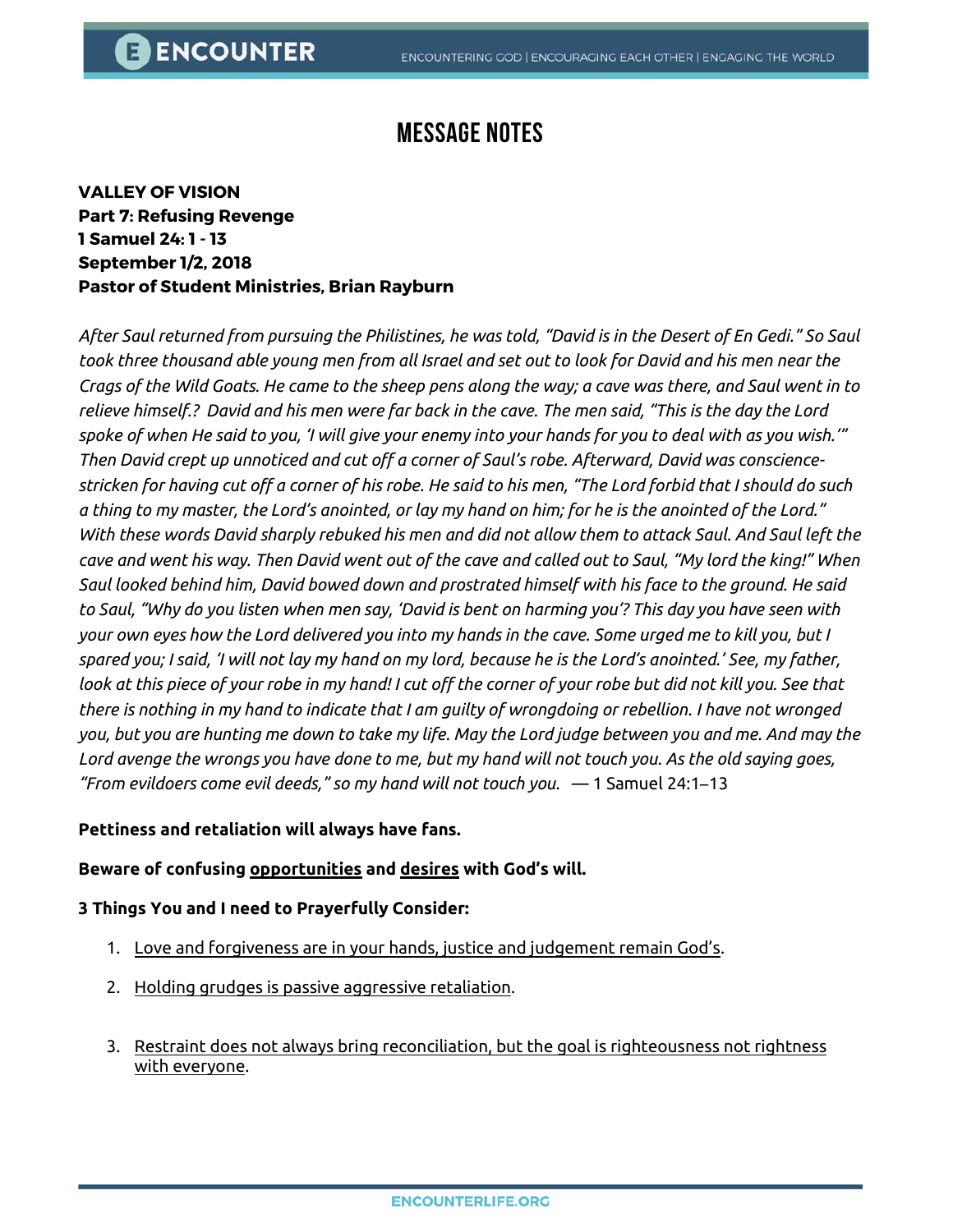# **Message Notes**

**VALLEY OF VISION Part 7: Refusing Revenge 1 Samuel 24: 1 - 13 September 1/2, 2018 Pastor of Student Ministries, Brian Rayburn**

*After Saul returned from pursuing the Philistines, he was told, "David is in the Desert of En Gedi." So Saul took three thousand able young men from all Israel and set out to look for David and his men near the Crags of the Wild Goats. He came to the sheep pens along the way; a cave was there, and Saul went in to relieve himself.? David and his men were far back in the cave. The men said, "This is the day the Lord spoke of when He said to you, 'I will give your enemy into your hands for you to deal with as you wish.'" Then David crept up unnoticed and cut off a corner of Saul's robe. Afterward, David was consciencestricken for having cut off a corner of his robe. He said to his men, "The Lord forbid that I should do such a thing to my master, the Lord's anointed, or lay my hand on him; for he is the anointed of the Lord." With these words David sharply rebuked his men and did not allow them to attack Saul. And Saul left the cave and went his way. Then David went out of the cave and called out to Saul, "My lord the king!" When Saul looked behind him, David bowed down and prostrated himself with his face to the ground. He said to Saul, "Why do you listen when men say, 'David is bent on harming you'? This day you have seen with your own eyes how the Lord delivered you into my hands in the cave. Some urged me to kill you, but I spared you; I said, 'I will not lay my hand on my lord, because he is the Lord's anointed.' See, my father,*  look at this piece of your robe in my hand! I cut off the corner of your robe but did not kill you. See that *there is nothing in my hand to indicate that I am guilty of wrongdoing or rebellion. I have not wronged you, but you are hunting me down to take my life. May the Lord judge between you and me. And may the Lord avenge the wrongs you have done to me, but my hand will not touch you. As the old saying goes, "From evildoers come evil deeds," so my hand will not touch you.* — 1 Samuel 24:1–13

### **Pettiness and retaliation will always have fans.**

### **Beware of confusing opportunities and desires with God's will.**

#### **3 Things You and I need to Prayerfully Consider:**

- 1. Love and forgiveness are in your hands, justice and judgement remain God's.
- 2. Holding grudges is passive aggressive retaliation.
- 3. Restraint does not always bring reconciliation, but the goal is righteousness not rightness with everyone.